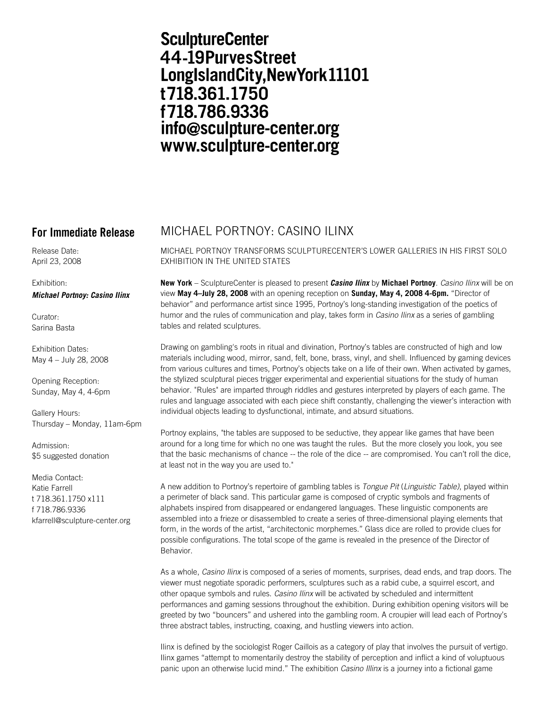# **SculptureCenter** 44-19PurvesStreet LongIslandCity, New York 11101 t718.361.1750 f718.786.9336 info@sculpture-center.org www.sculpture-center.org

Release Date: April 23, 2008

## Exhibition:

*Michael Portnoy: Casino Ilinx*

Curator: Sarina Basta

Exhibition Dates: May 4 – July 28, 2008

Opening Reception: Sunday, May 4, 4-6pm

Gallery Hours: Thursday – Monday, 11am-6pm

Admission: \$5 suggested donation

Media Contact: Katie Farrell t 718.361.1750 x111 f 718.786.9336 kfarrell@sculpture-center.org

## **For Immediate Release** MICHAEL PORTNOY: CASINO ILINX

MICHAEL PORTNOY TRANSFORMS SCULPTURECENTER'S LOWER GALLERIES IN HIS FIRST SOLO EXHIBITION IN THE UNITED STATES

**New York** – SculptureCenter is pleased to present *Casino Ilinx* by **Michael Portnoy**. *Casino Ilinx* will be on view **May 4–July 28, 2008** with an opening reception on **Sunday, May 4, 2008 4-6pm.** "Director of behavior" and performance artist since 1995, Portnoy's long-standing investigation of the poetics of humor and the rules of communication and play, takes form in *Casino Ilinx* as a series of gambling tables and related sculptures.

Drawing on gambling's roots in ritual and divination, Portnoy's tables are constructed of high and low materials including wood, mirror, sand, felt, bone, brass, vinyl, and shell. Influenced by gaming devices from various cultures and times, Portnoy's objects take on a life of their own. When activated by games, the stylized sculptural pieces trigger experimental and experiential situations for the study of human behavior. "Rules" are imparted through riddles and gestures interpreted by players of each game. The rules and language associated with each piece shift constantly, challenging the viewer's interaction with individual objects leading to dysfunctional, intimate, and absurd situations.

Portnoy explains, "the tables are supposed to be seductive, they appear like games that have been around for a long time for which no one was taught the rules. But the more closely you look, you see that the basic mechanisms of chance -- the role of the dice -- are compromised. You can't roll the dice, at least not in the way you are used to."

A new addition to Portnoy's repertoire of gambling tables is *Tongue Pit* (*Linguistic Table)*, played within a perimeter of black sand. This particular game is composed of cryptic symbols and fragments of alphabets inspired from disappeared or endangered languages. These linguistic components are assembled into a frieze or disassembled to create a series of three-dimensional playing elements that form, in the words of the artist, "architectonic morphemes." Glass dice are rolled to provide clues for possible configurations. The total scope of the game is revealed in the presence of the Director of Behavior.

As a whole, *Casino Ilinx* is composed of a series of moments, surprises, dead ends, and trap doors. The viewer must negotiate sporadic performers, sculptures such as a rabid cube, a squirrel escort, and other opaque symbols and rules. *Casino Ilinx* will be activated by scheduled and intermittent performances and gaming sessions throughout the exhibition. During exhibition opening visitors will be greeted by two "bouncers" and ushered into the gambling room. A croupier will lead each of Portnoy's three abstract tables, instructing, coaxing, and hustling viewers into action.

Ilinx is defined by the sociologist Roger Caillois as a category of play that involves the pursuit of vertigo. Ilinx games "attempt to momentarily destroy the stability of perception and inflict a kind of voluptuous panic upon an otherwise lucid mind." The exhibition *Casino Illinx* is a journey into a fictional game